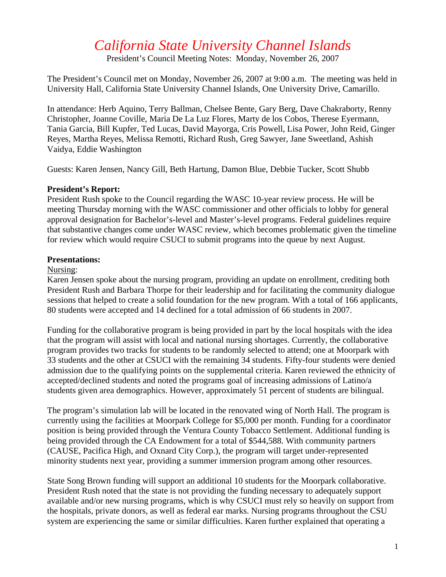# *California State University Channel Islands*

President's Council Meeting Notes: Monday, November 26, 2007

The President's Council met on Monday, November 26, 2007 at 9:00 a.m. The meeting was held in University Hall, California State University Channel Islands, One University Drive, Camarillo.

In attendance: Herb Aquino, Terry Ballman, Chelsee Bente, Gary Berg, Dave Chakraborty, Renny Christopher, Joanne Coville, Maria De La Luz Flores, Marty de los Cobos, Therese Eyermann, Tania Garcia, Bill Kupfer, Ted Lucas, David Mayorga, Cris Powell, Lisa Power, John Reid, Ginger Reyes, Martha Reyes, Melissa Remotti, Richard Rush, Greg Sawyer, Jane Sweetland, Ashish Vaidya, Eddie Washington

Guests: Karen Jensen, Nancy Gill, Beth Hartung, Damon Blue, Debbie Tucker, Scott Shubb

### **President's Report:**

President Rush spoke to the Council regarding the WASC 10-year review process. He will be meeting Thursday morning with the WASC commissioner and other officials to lobby for general approval designation for Bachelor's-level and Master's-level programs. Federal guidelines require that substantive changes come under WASC review, which becomes problematic given the timeline for review which would require CSUCI to submit programs into the queue by next August.

## **Presentations:**

#### Nursing:

Karen Jensen spoke about the nursing program, providing an update on enrollment, crediting both President Rush and Barbara Thorpe for their leadership and for facilitating the community dialogue sessions that helped to create a solid foundation for the new program. With a total of 166 applicants, 80 students were accepted and 14 declined for a total admission of 66 students in 2007.

Funding for the collaborative program is being provided in part by the local hospitals with the idea that the program will assist with local and national nursing shortages. Currently, the collaborative program provides two tracks for students to be randomly selected to attend; one at Moorpark with 33 students and the other at CSUCI with the remaining 34 students. Fifty-four students were denied admission due to the qualifying points on the supplemental criteria. Karen reviewed the ethnicity of accepted/declined students and noted the programs goal of increasing admissions of Latino/a students given area demographics. However, approximately 51 percent of students are bilingual.

The program's simulation lab will be located in the renovated wing of North Hall. The program is currently using the facilities at Moorpark College for \$5,000 per month. Funding for a coordinator position is being provided through the Ventura County Tobacco Settlement. Additional funding is being provided through the CA Endowment for a total of \$544,588. With community partners (CAUSE, Pacifica High, and Oxnard City Corp.), the program will target under-represented minority students next year, providing a summer immersion program among other resources.

State Song Brown funding will support an additional 10 students for the Moorpark collaborative. President Rush noted that the state is not providing the funding necessary to adequately support available and/or new nursing programs, which is why CSUCI must rely so heavily on support from the hospitals, private donors, as well as federal ear marks. Nursing programs throughout the CSU system are experiencing the same or similar difficulties. Karen further explained that operating a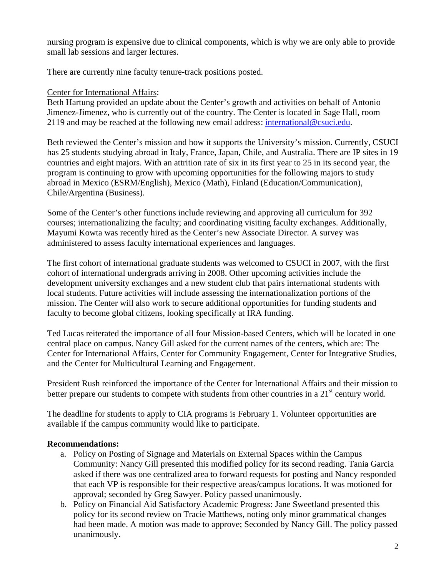nursing program is expensive due to clinical components, which is why we are only able to provide small lab sessions and larger lectures.

There are currently nine faculty tenure-track positions posted.

# Center for International Affairs:

Beth Hartung provided an update about the Center's growth and activities on behalf of Antonio Jimenez-Jimenez, who is currently out of the country. The Center is located in Sage Hall, room 2119 and may be reached at the following new email address: [international@csuci.edu.](mailto:international@csuci.edu)

Beth reviewed the Center's mission and how it supports the University's mission. Currently, CSUCI has 25 students studying abroad in Italy, France, Japan, Chile, and Australia. There are IP sites in 19 countries and eight majors. With an attrition rate of six in its first year to 25 in its second year, the program is continuing to grow with upcoming opportunities for the following majors to study abroad in Mexico (ESRM/English), Mexico (Math), Finland (Education/Communication), Chile/Argentina (Business).

Some of the Center's other functions include reviewing and approving all curriculum for 392 courses; internationalizing the faculty; and coordinating visiting faculty exchanges. Additionally, Mayumi Kowta was recently hired as the Center's new Associate Director. A survey was administered to assess faculty international experiences and languages.

The first cohort of international graduate students was welcomed to CSUCI in 2007, with the first cohort of international undergrads arriving in 2008. Other upcoming activities include the development university exchanges and a new student club that pairs international students with local students. Future activities will include assessing the internationalization portions of the mission. The Center will also work to secure additional opportunities for funding students and faculty to become global citizens, looking specifically at IRA funding.

Ted Lucas reiterated the importance of all four Mission-based Centers, which will be located in one central place on campus. Nancy Gill asked for the current names of the centers, which are: The Center for International Affairs, Center for Community Engagement, Center for Integrative Studies, and the Center for Multicultural Learning and Engagement.

President Rush reinforced the importance of the Center for International Affairs and their mission to better prepare our students to compete with students from other countries in a  $21<sup>st</sup>$  century world.

The deadline for students to apply to CIA programs is February 1. Volunteer opportunities are available if the campus community would like to participate.

## **Recommendations:**

- a. Policy on Posting of Signage and Materials on External Spaces within the Campus Community: Nancy Gill presented this modified policy for its second reading. Tania Garcia asked if there was one centralized area to forward requests for posting and Nancy responded that each VP is responsible for their respective areas/campus locations. It was motioned for approval; seconded by Greg Sawyer. Policy passed unanimously.
- b. Policy on Financial Aid Satisfactory Academic Progress: Jane Sweetland presented this policy for its second review on Tracie Matthews, noting only minor grammatical changes had been made. A motion was made to approve; Seconded by Nancy Gill. The policy passed unanimously.